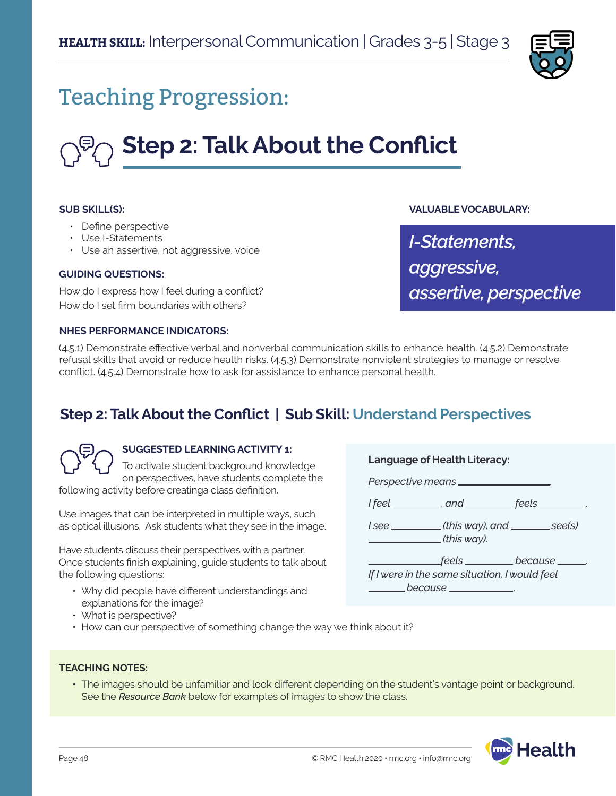

## Teaching Progression:

# **Step 2: Talk About the Conflict**

#### **SUB SKILL(S):**

- Define perspective
- Use I-Statements
- Use an assertive, not aggressive, voice

#### **GUIDING QUESTIONS:**

How do I express how I feel during a conflict? How do I set firm boundaries with others?

**VALUABLE VOCABULARY:**

*I-Statements, aggressive, assertive, perspective*

#### **NHES PERFORMANCE INDICATORS:**

(4.5.1) Demonstrate effective verbal and nonverbal communication skills to enhance health. (4.5.2) Demonstrate refusal skills that avoid or reduce health risks. (4.5.3) Demonstrate nonviolent strategies to manage or resolve conflict. (4.5.4) Demonstrate how to ask for assistance to enhance personal health.

### **Step 2: Talk About the Conflict | Sub Skill: Understand Perspectives**



#### **SUGGESTED LEARNING ACTIVITY 1:**

To activate student background knowledge on perspectives, have students complete the following activity before creatinga class definition.

Use images that can be interpreted in multiple ways, such as optical illusions. Ask students what they see in the image.

Have students discuss their perspectives with a partner. Once students finish explaining, guide students to talk about the following questions:

- Why did people have different understandings and explanations for the image?
- What is perspective?
- How can our perspective of something change the way we think about it?

**Language of Health Literacy:**

*Perspective means* .

*I* feel \_\_\_\_\_\_\_\_\_, and \_\_\_\_\_\_\_\_ feels \_\_\_\_\_\_\_\_

*I* see \_\_\_\_\_\_\_\_(this way), and \_\_\_\_\_\_\_ see(s)  *(this way).*

 *feels because* . *If I were in the same situation, I would feel because* .

- **TEACHING NOTES:**
	- The images should be unfamiliar and look different depending on the student's vantage point or background. See the *Resource Bank* below for examples of images to show the class.

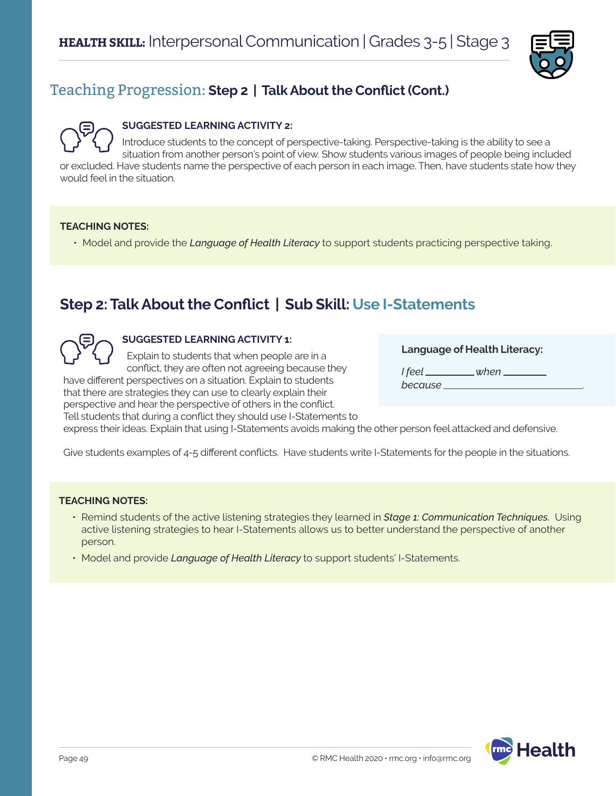

## Teaching Progression: **Step 2 | Talk About the Conflict (Cont.)**

#### **SUGGESTED LEARNING ACTIVITY 2:**

Introduce students to the concept of perspective-taking. Perspective-taking is the ability to see a situation from another person's point of view. Show students various images of people being included or excluded. Have students name the perspective of each person in each image. Then, have students state how they would feel in the situation.

#### **TEACHING NOTES:**

• Model and provide the *Language of Health Literacy* to support students practicing perspective taking.

## **Step 2: Talk About the Conflict | Sub Skill: Use I-Statements**

#### **SUGGESTED LEARNING ACTIVITY 1:**

Explain to students that when people are in a conflict, they are often not agreeing because they

have different perspectives on a situation. Explain to students that there are strategies they can use to clearly explain their perspective and hear the perspective of others in the conflict. Tell students that during a conflict they should use I-Statements to

#### **Language of Health Literacy:**

*I* feel when \_\_\_\_\_ *because* .

express their ideas. Explain that using I-Statements avoids making the other person feel attacked and defensive.

Give students examples of 4-5 different conflicts. Have students write I-Statements for the people in the situations.

#### **TEACHING NOTES:**

- Remind students of the active listening strategies they learned in *Stage 1: Communication Techniques.* Using active listening strategies to hear I-Statements allows us to better understand the perspective of another person.
- Model and provide *Language of Health Literacy* to support students' I-Statements.

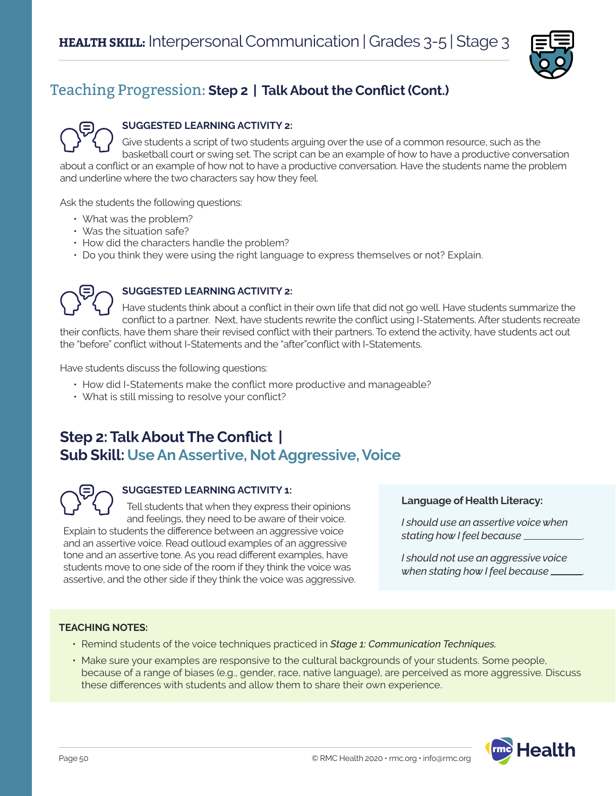

## Teaching Progression: **Step 2 | Talk About the Conflict (Cont.)**



#### **SUGGESTED LEARNING ACTIVITY 2:**

Give students a script of two students arguing over the use of a common resource, such as the basketball court or swing set. The script can be an example of how to have a productive conversation about a conflict or an example of how not to have a productive conversation. Have the students name the problem and underline where the two characters say how they feel.

Ask the students the following questions:

- What was the problem?
- Was the situation safe?
- How did the characters handle the problem?
- Do you think they were using the right language to express themselves or not? Explain.



#### **SUGGESTED LEARNING ACTIVITY 2:**

Have students think about a conflict in their own life that did not go well. Have students summarize the conflict to a partner. Next, have students rewrite the conflict using I-Statements. After students recreate their conflicts, have them share their revised conflict with their partners. To extend the activity, have students act out the "before" conflict without I-Statements and the "after"conflict with I-Statements.

Have students discuss the following questions:

- How did I-Statements make the conflict more productive and manageable?
- What is still missing to resolve your conflict?

## **Step 2: Talk About The Conflict | Sub Skill: Use An Assertive, Not Aggressive, Voice**



#### **SUGGESTED LEARNING ACTIVITY 1:**

Tell students that when they express their opinions and feelings, they need to be aware of their voice.

Explain to students the difference between an aggressive voice and an assertive voice. Read outloud examples of an aggressive tone and an assertive tone. As you read different examples, have students move to one side of the room if they think the voice was assertive, and the other side if they think the voice was aggressive.

#### **Language of Health Literacy:**

*I should use an assertive voice when stating how I feel because* .

*I should not use an aggressive voice when stating how I feel because* .

#### **TEACHING NOTES:**

- Remind students of the voice techniques practiced in *Stage 1: Communication Techniques.*
- Make sure your examples are responsive to the cultural backgrounds of your students. Some people, because of a range of biases (e.g., gender, race, native language), are perceived as more aggressive. Discuss these differences with students and allow them to share their own experience.